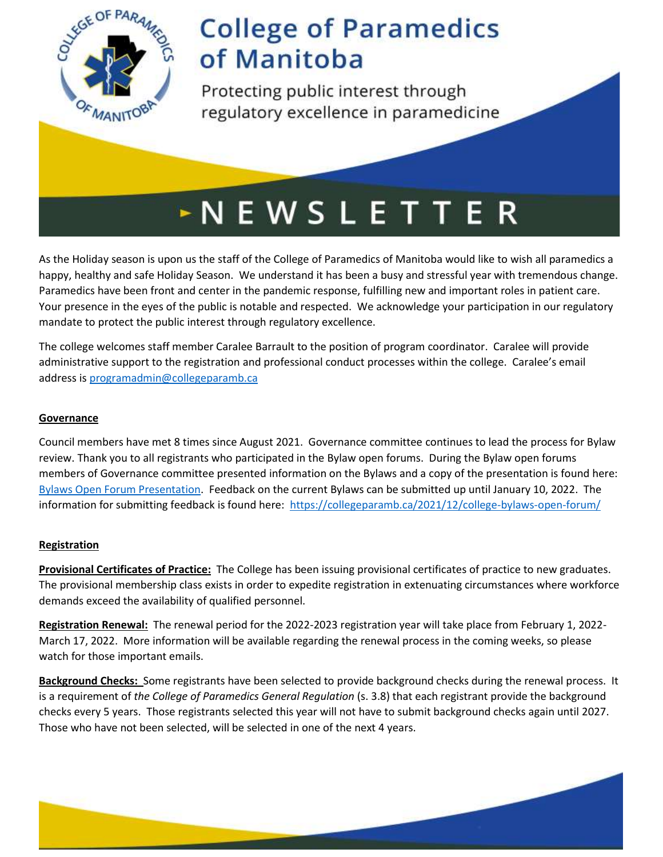

Protecting public interest through regulatory excellence in paramedicine

# **NEWSLETTER**

As the Holiday season is upon us the staff of the College of Paramedics of Manitoba would like to wish all paramedics a happy, healthy and safe Holiday Season. We understand it has been a busy and stressful year with tremendous change. Paramedics have been front and center in the pandemic response, fulfilling new and important roles in patient care. Your presence in the eyes of the public is notable and respected. We acknowledge your participation in our regulatory mandate to protect the public interest through regulatory excellence.

The college welcomes staff member Caralee Barrault to the position of program coordinator. Caralee will provide administrative support to the registration and professional conduct processes within the college. Caralee's email address i[s programadmin@collegeparamb.ca](mailto:programadmin@collegeparamb.ca)

### **Governance**

Council members have met 8 times since August 2021. Governance committee continues to lead the process for Bylaw review. Thank you to all registrants who participated in the Bylaw open forums. During the Bylaw open forums members of Governance committee presented information on the Bylaws and a copy of the presentation is found here: [Bylaws Open Forum Presentation.](https://collegeparamb.ca/wp-content/uploads/2021/12/Nov-29-Powerpoint-Presentation-College-Bylaws.pdf) Feedback on the current Bylaws can be submitted up until January 10, 2022. The information for submitting feedback is found here: <https://collegeparamb.ca/2021/12/college-bylaws-open-forum/>

#### **Registration**

**Provisional Certificates of Practice:** The College has been issuing provisional certificates of practice to new graduates. The provisional membership class exists in order to expedite registration in extenuating circumstances where workforce demands exceed the availability of qualified personnel.

**Registration Renewal:** The renewal period for the 2022-2023 registration year will take place from February 1, 2022- March 17, 2022. More information will be available regarding the renewal process in the coming weeks, so please watch for those important emails.

**Background Checks:** Some registrants have been selected to provide background checks during the renewal process. It is a requirement of *the College of Paramedics General Regulation* (s. 3.8) that each registrant provide the background checks every 5 years. Those registrants selected this year will not have to submit background checks again until 2027. Those who have not been selected, will be selected in one of the next 4 years.

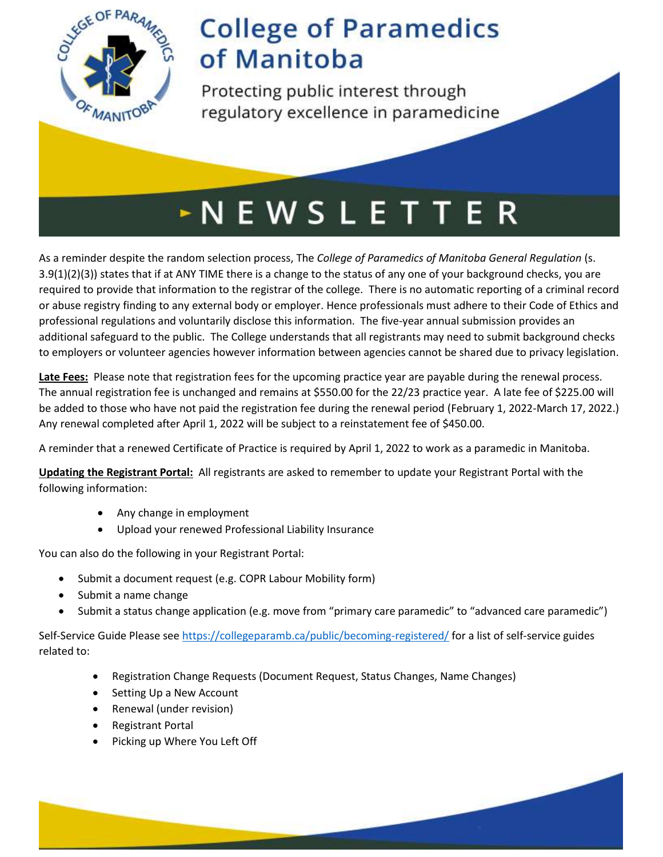

Protecting public interest through regulatory excellence in paramedicine

# $\sim$  N E W S L E T T E R

As a reminder despite the random selection process, The *College of Paramedics of Manitoba General Regulation* (s. 3.9(1)(2)(3)) states that if at ANY TIME there is a change to the status of any one of your background checks, you are required to provide that information to the registrar of the college. There is no automatic reporting of a criminal record or abuse registry finding to any external body or employer. Hence professionals must adhere to their Code of Ethics and professional regulations and voluntarily disclose this information. The five-year annual submission provides an additional safeguard to the public. The College understands that all registrants may need to submit background checks to employers or volunteer agencies however information between agencies cannot be shared due to privacy legislation.

**Late Fees:** Please note that registration fees for the upcoming practice year are payable during the renewal process. The annual registration fee is unchanged and remains at \$550.00 for the 22/23 practice year. A late fee of \$225.00 will be added to those who have not paid the registration fee during the renewal period (February 1, 2022-March 17, 2022.) Any renewal completed after April 1, 2022 will be subject to a reinstatement fee of \$450.00.

A reminder that a renewed Certificate of Practice is required by April 1, 2022 to work as a paramedic in Manitoba.

**Updating the Registrant Portal:** All registrants are asked to remember to update your Registrant Portal with the following information:

- Any change in employment
- Upload your renewed Professional Liability Insurance

You can also do the following in your Registrant Portal:

- Submit a document request (e.g. COPR Labour Mobility form)
- Submit a name change
- Submit a status change application (e.g. move from "primary care paramedic" to "advanced care paramedic")

Self-Service Guide Please see<https://collegeparamb.ca/public/becoming-registered/> for a list of self-service guides related to:

- Registration Change Requests (Document Request, Status Changes, Name Changes)
- Setting Up a New Account
- Renewal (under revision)
- Registrant Portal
- Picking up Where You Left Off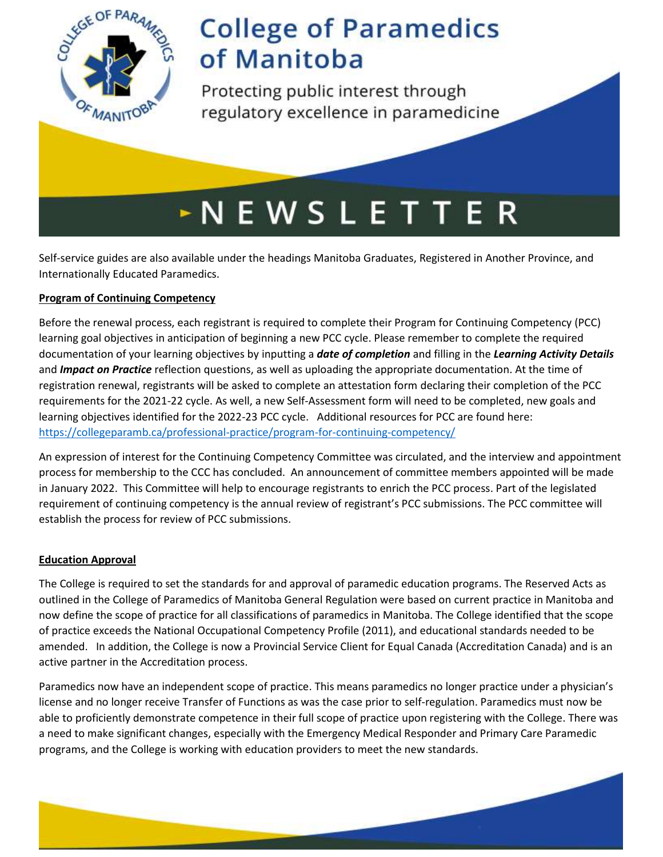

Protecting public interest through regulatory excellence in paramedicine

# $\sim$  N E W S L E T T E R

Self-service guides are also available under the headings Manitoba Graduates, Registered in Another Province, and Internationally Educated Paramedics.

### **Program of Continuing Competency**

Before the renewal process, each registrant is required to complete their Program for Continuing Competency (PCC) learning goal objectives in anticipation of beginning a new PCC cycle. Please remember to complete the required documentation of your learning objectives by inputting a *date of completion* and filling in the *Learning Activity Details* and *Impact on Practice* reflection questions, as well as uploading the appropriate documentation. At the time of registration renewal, registrants will be asked to complete an attestation form declaring their completion of the PCC requirements for the 2021-22 cycle. As well, a new Self-Assessment form will need to be completed, new goals and learning objectives identified for the 2022-23 PCC cycle. Additional resources for PCC are found here: <https://collegeparamb.ca/professional-practice/program-for-continuing-competency/>

An expression of interest for the Continuing Competency Committee was circulated, and the interview and appointment process for membership to the CCC has concluded. An announcement of committee members appointed will be made in January 2022. This Committee will help to encourage registrants to enrich the PCC process. Part of the legislated requirement of continuing competency is the annual review of registrant's PCC submissions. The PCC committee will establish the process for review of PCC submissions.

### **Education Approval**

The College is required to set the standards for and approval of paramedic education programs. The Reserved Acts as outlined in the College of Paramedics of Manitoba General Regulation were based on current practice in Manitoba and now define the scope of practice for all classifications of paramedics in Manitoba. The College identified that the scope of practice exceeds the National Occupational Competency Profile (2011), and educational standards needed to be amended. In addition, the College is now a Provincial Service Client for Equal Canada (Accreditation Canada) and is an active partner in the Accreditation process.

Paramedics now have an independent scope of practice. This means paramedics no longer practice under a physician's license and no longer receive Transfer of Functions as was the case prior to self-regulation. Paramedics must now be able to proficiently demonstrate competence in their full scope of practice upon registering with the College. There was a need to make significant changes, especially with the Emergency Medical Responder and Primary Care Paramedic programs, and the College is working with education providers to meet the new standards.